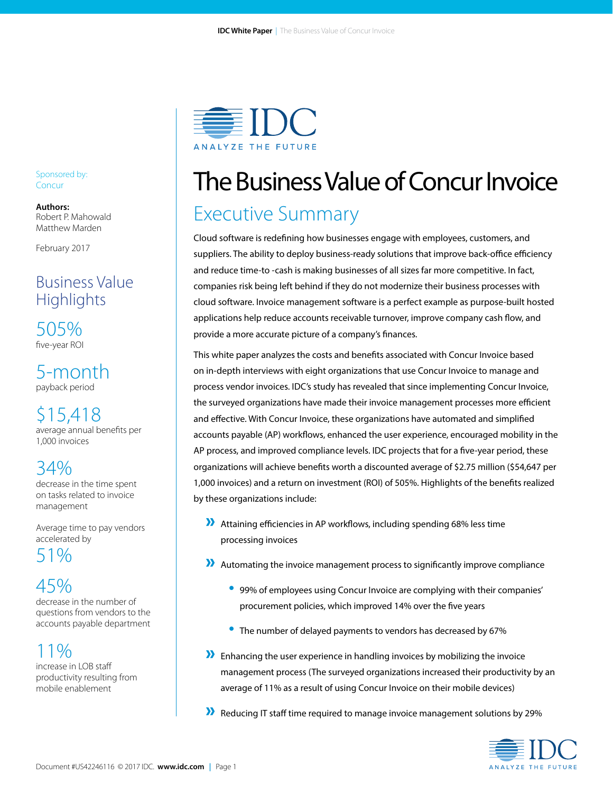

# The Business Value of Concur Invoice

# Executive Summary

Cloud software is redefining how businesses engage with employees, customers, and suppliers. The ability to deploy business-ready solutions that improve back-office efficiency and reduce time-to -cash is making businesses of all sizes far more competitive. In fact, companies risk being left behind if they do not modernize their business processes with cloud software. Invoice management software is a perfect example as purpose-built hosted applications help reduce accounts receivable turnover, improve company cash flow, and provide a more accurate picture of a company's finances.

This white paper analyzes the costs and benefits associated with Concur Invoice based on in-depth interviews with eight organizations that use Concur Invoice to manage and process vendor invoices. IDC's study has revealed that since implementing Concur Invoice, the surveyed organizations have made their invoice management processes more efficient and effective. With Concur Invoice, these organizations have automated and simplified accounts payable (AP) workflows, enhanced the user experience, encouraged mobility in the AP process, and improved compliance levels. IDC projects that for a five-year period, these organizations will achieve benefits worth a discounted average of \$2.75 million (\$54,647 per 1,000 invoices) and a return on investment (ROI) of 505%. Highlights of the benefits realized by these organizations include:

- » Attaining efficiencies in AP workflows, including spending 68% less time processing invoices
- » Automating the invoice management process to significantly improve compliance
	- 99% of employees using Concur Invoice are complying with their companies' procurement policies, which improved 14% over the five years
	- The number of delayed payments to vendors has decreased by 67%
- » Enhancing the user experience in handling invoices by mobilizing the invoice management process (The surveyed organizations increased their productivity by an average of 11% as a result of using Concur Invoice on their mobile devices)
- » Reducing IT staff time required to manage invoice management solutions by 29%



#### Sponsored by: **Concur**

**Authors:** Robert P. Mahowald Matthew Marden

February 2017

# Business Value **Highlights**

505% five-year ROI

5-month payback period

\$15,418 average annual benefits per 1,000 invoices

# 34%

decrease in the time spent on tasks related to invoice management

Average time to pay vendors accelerated by 51%

# 45%

decrease in the number of questions from vendors to the accounts payable department

# 11%

increase in LOB staff productivity resulting from mobile enablement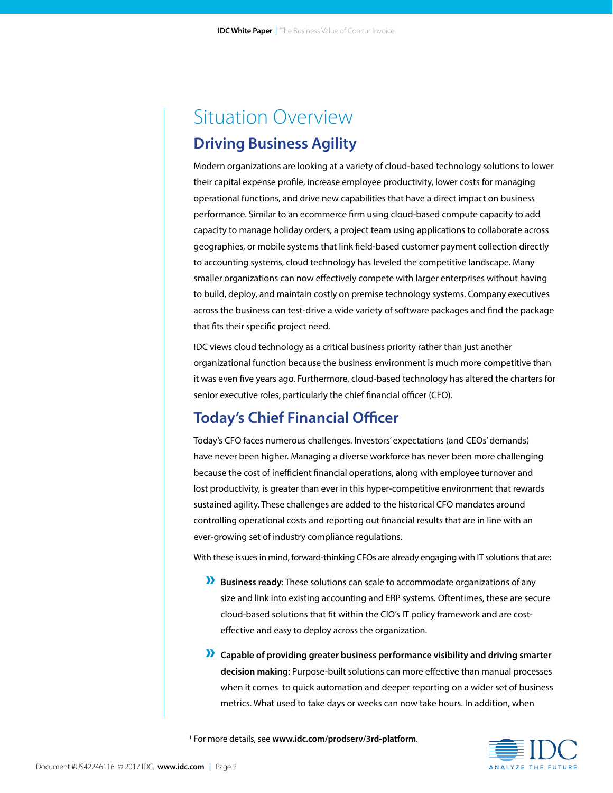# Situation Overview **Driving Business Agility**

Modern organizations are looking at a variety of cloud-based technology solutions to lower their capital expense profile, increase employee productivity, lower costs for managing operational functions, and drive new capabilities that have a direct impact on business performance. Similar to an ecommerce firm using cloud-based compute capacity to add capacity to manage holiday orders, a project team using applications to collaborate across geographies, or mobile systems that link field-based customer payment collection directly to accounting systems, cloud technology has leveled the competitive landscape. Many smaller organizations can now effectively compete with larger enterprises without having to build, deploy, and maintain costly on premise technology systems. Company executives across the business can test-drive a wide variety of software packages and find the package that fits their specific project need.

IDC views cloud technology as a critical business priority rather than just another organizational function because the business environment is much more competitive than it was even five years ago. Furthermore, cloud-based technology has altered the charters for senior executive roles, particularly the chief financial officer (CFO).

# **Today's Chief Financial Officer**

Today's CFO faces numerous challenges. Investors' expectations (and CEOs' demands) have never been higher. Managing a diverse workforce has never been more challenging because the cost of inefficient financial operations, along with employee turnover and lost productivity, is greater than ever in this hyper-competitive environment that rewards sustained agility. These challenges are added to the historical CFO mandates around controlling operational costs and reporting out financial results that are in line with an ever-growing set of industry compliance regulations.

With these issues in mind, forward-thinking CFOs are already engaging with IT solutions that are:

- » **Business ready**: These solutions can scale to accommodate organizations of any size and link into existing accounting and ERP systems. Oftentimes, these are secure cloud-based solutions that fit within the CIO's IT policy framework and are costeffective and easy to deploy across the organization.
- » **Capable of providing greater business performance visibility and driving smarter decision making**: Purpose-built solutions can more effective than manual processes when it comes to quick automation and deeper reporting on a wider set of business metrics. What used to take days or weeks can now take hours. In addition, when

1 For more details, see **www.idc.com/prodserv/3rd-platform**.

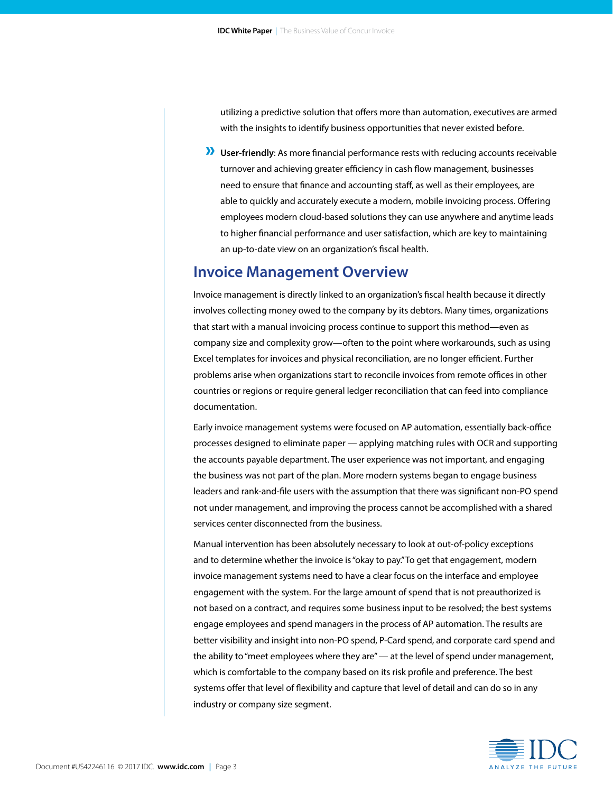utilizing a predictive solution that offers more than automation, executives are armed with the insights to identify business opportunities that never existed before.

» **User-friendly**: As more financial performance rests with reducing accounts receivable turnover and achieving greater efficiency in cash flow management, businesses need to ensure that finance and accounting staff, as well as their employees, are able to quickly and accurately execute a modern, mobile invoicing process. Offering employees modern cloud-based solutions they can use anywhere and anytime leads to higher financial performance and user satisfaction, which are key to maintaining an up-to-date view on an organization's fiscal health.

### **Invoice Management Overview**

Invoice management is directly linked to an organization's fiscal health because it directly involves collecting money owed to the company by its debtors. Many times, organizations that start with a manual invoicing process continue to support this method—even as company size and complexity grow—often to the point where workarounds, such as using Excel templates for invoices and physical reconciliation, are no longer efficient. Further problems arise when organizations start to reconcile invoices from remote offices in other countries or regions or require general ledger reconciliation that can feed into compliance documentation.

Early invoice management systems were focused on AP automation, essentially back-office processes designed to eliminate paper — applying matching rules with OCR and supporting the accounts payable department. The user experience was not important, and engaging the business was not part of the plan. More modern systems began to engage business leaders and rank-and-file users with the assumption that there was significant non-PO spend not under management, and improving the process cannot be accomplished with a shared services center disconnected from the business.

Manual intervention has been absolutely necessary to look at out-of-policy exceptions and to determine whether the invoice is "okay to pay." To get that engagement, modern invoice management systems need to have a clear focus on the interface and employee engagement with the system. For the large amount of spend that is not preauthorized is not based on a contract, and requires some business input to be resolved; the best systems engage employees and spend managers in the process of AP automation. The results are better visibility and insight into non-PO spend, P-Card spend, and corporate card spend and the ability to "meet employees where they are" — at the level of spend under management, which is comfortable to the company based on its risk profile and preference. The best systems offer that level of flexibility and capture that level of detail and can do so in any industry or company size segment.

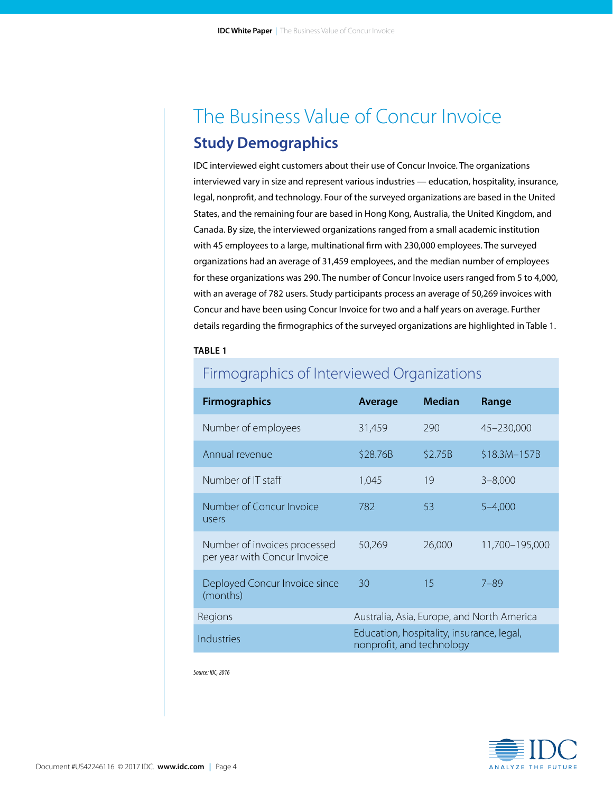# The Business Value of Concur Invoice **Study Demographics**

IDC interviewed eight customers about their use of Concur Invoice. The organizations interviewed vary in size and represent various industries — education, hospitality, insurance, legal, nonprofit, and technology. Four of the surveyed organizations are based in the United States, and the remaining four are based in Hong Kong, Australia, the United Kingdom, and Canada. By size, the interviewed organizations ranged from a small academic institution with 45 employees to a large, multinational firm with 230,000 employees. The surveyed organizations had an average of 31,459 employees, and the median number of employees for these organizations was 290. The number of Concur Invoice users ranged from 5 to 4,000, with an average of 782 users. Study participants process an average of 50,269 invoices with Concur and have been using Concur Invoice for two and a half years on average. Further details regarding the firmographics of the surveyed organizations are highlighted in Table 1.

#### **TABLE 1**

| <b>Firmographics</b>                                         | <b>Average</b>                                                         | <b>Median</b> | Range                                      |
|--------------------------------------------------------------|------------------------------------------------------------------------|---------------|--------------------------------------------|
| Number of employees                                          | 31,459                                                                 | 290           | 45-230,000                                 |
| Annual revenue                                               | \$28.76B                                                               | \$2.75B       | \$18.3M-157B                               |
| Number of IT staff                                           | 1,045                                                                  | 19            | $3 - 8,000$                                |
| Number of Concur Invoice<br>users                            | 782                                                                    | 53            | $5 - 4,000$                                |
| Number of invoices processed<br>per year with Concur Invoice | 50,269                                                                 | 26,000        | 11,700-195,000                             |
| Deployed Concur Invoice since<br>(months)                    | 30                                                                     | 15            | $7 - 89$                                   |
| Regions                                                      |                                                                        |               | Australia, Asia, Europe, and North America |
| Industries                                                   | Education, hospitality, insurance, legal,<br>nonprofit, and technology |               |                                            |

# Firmographics of Interviewed Organizations

*Source: IDC, 2016* 

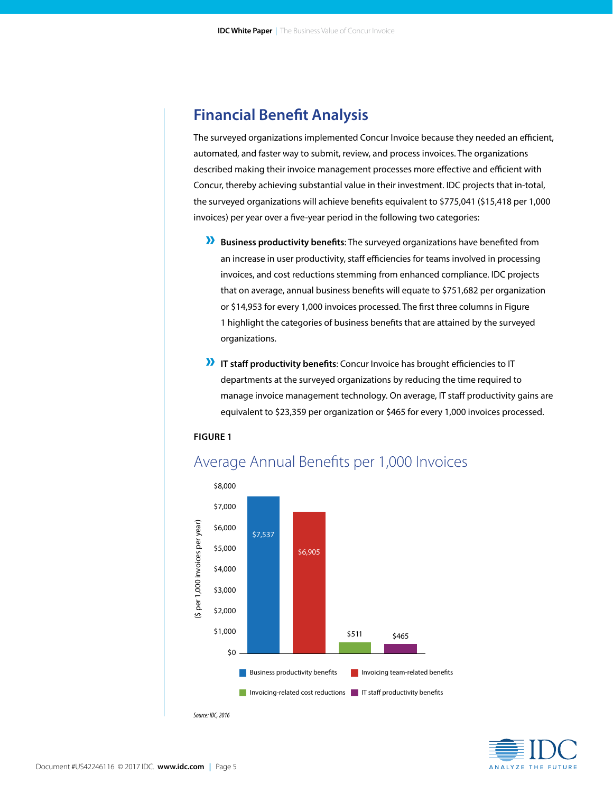### **Financial Benefit Analysis**

The surveyed organizations implemented Concur Invoice because they needed an efficient, automated, and faster way to submit, review, and process invoices. The organizations described making their invoice management processes more effective and efficient with Concur, thereby achieving substantial value in their investment. IDC projects that in-total, the surveyed organizations will achieve benefits equivalent to \$775,041 (\$15,418 per 1,000 invoices) per year over a five-year period in the following two categories:

- » **Business productivity benefits**: The surveyed organizations have benefited from an increase in user productivity, staff efficiencies for teams involved in processing invoices, and cost reductions stemming from enhanced compliance. IDC projects that on average, annual business benefits will equate to \$751,682 per organization or \$14,953 for every 1,000 invoices processed. The first three columns in Figure 1 highlight the categories of business benefits that are attained by the surveyed organizations.
- » **IT staff productivity benefits**: Concur Invoice has brought efficiencies to IT departments at the surveyed organizations by reducing the time required to manage invoice management technology. On average, IT staff productivity gains are equivalent to \$23,359 per organization or \$465 for every 1,000 invoices processed.

#### **FIGURE 1**



### Average Annual Benefits per 1,000 Invoices

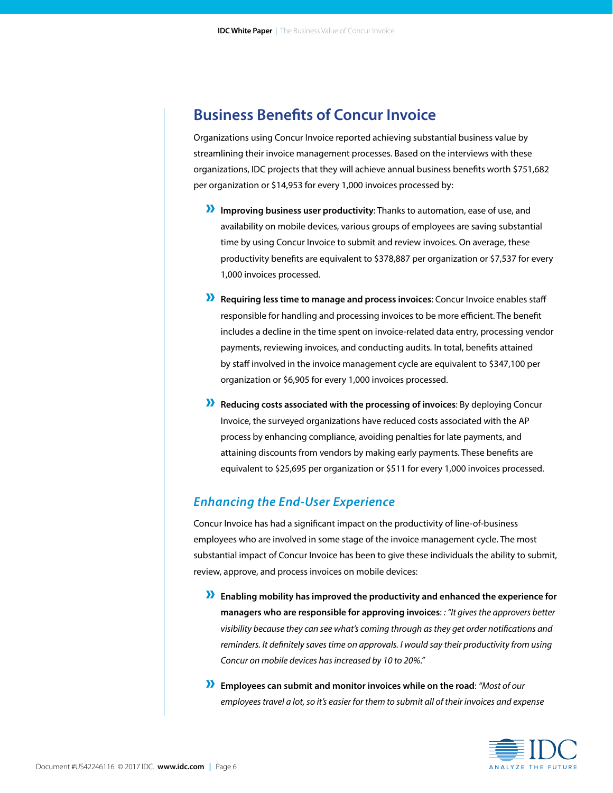### **Business Benefits of Concur Invoice**

Organizations using Concur Invoice reported achieving substantial business value by streamlining their invoice management processes. Based on the interviews with these organizations, IDC projects that they will achieve annual business benefits worth \$751,682 per organization or \$14,953 for every 1,000 invoices processed by:

- » **Improving business user productivity**: Thanks to automation, ease of use, and availability on mobile devices, various groups of employees are saving substantial time by using Concur Invoice to submit and review invoices. On average, these productivity benefits are equivalent to \$378,887 per organization or \$7,537 for every 1,000 invoices processed.
- » **Requiring less time to manage and process invoices**: Concur Invoice enables staff responsible for handling and processing invoices to be more efficient. The benefit includes a decline in the time spent on invoice-related data entry, processing vendor payments, reviewing invoices, and conducting audits. In total, benefits attained by staff involved in the invoice management cycle are equivalent to \$347,100 per organization or \$6,905 for every 1,000 invoices processed.
- » **Reducing costs associated with the processing of invoices**: By deploying Concur Invoice, the surveyed organizations have reduced costs associated with the AP process by enhancing compliance, avoiding penalties for late payments, and attaining discounts from vendors by making early payments. These benefits are equivalent to \$25,695 per organization or \$511 for every 1,000 invoices processed.

### *Enhancing the End-User Experience*

Concur Invoice has had a significant impact on the productivity of line-of-business employees who are involved in some stage of the invoice management cycle. The most substantial impact of Concur Invoice has been to give these individuals the ability to submit, review, approve, and process invoices on mobile devices:

- » **Enabling mobility has improved the productivity and enhanced the experience for managers who are responsible for approving invoices**: *: "It gives the approvers better visibility because they can see what's coming through as they get order notifications and reminders. It definitely saves time on approvals. I would say their productivity from using Concur on mobile devices has increased by 10 to 20%."*
- » **Employees can submit and monitor invoices while on the road**: *"Most of our employees travel a lot, so it's easier for them to submit all of their invoices and expense*

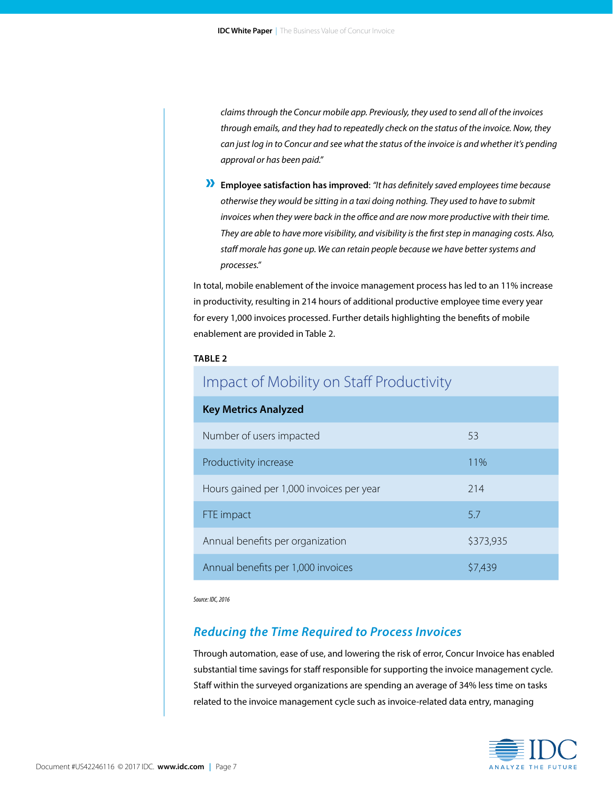*claims through the Concur mobile app. Previously, they used to send all of the invoices through emails, and they had to repeatedly check on the status of the invoice. Now, they can just log in to Concur and see what the status of the invoice is and whether it's pending approval or has been paid."* 

» **Employee satisfaction has improved**: *"It has definitely saved employees time because otherwise they would be sitting in a taxi doing nothing. They used to have to submit invoices when they were back in the office and are now more productive with their time. They are able to have more visibility, and visibility is the first step in managing costs. Also, staff morale has gone up. We can retain people because we have better systems and processes."*

In total, mobile enablement of the invoice management process has led to an 11% increase in productivity, resulting in 214 hours of additional productive employee time every year for every 1,000 invoices processed. Further details highlighting the benefits of mobile enablement are provided in Table 2.

#### **TABLE 2**

| impact of Mobility on Staff Productivity |           |  |
|------------------------------------------|-----------|--|
| <b>Key Metrics Analyzed</b>              |           |  |
| Number of users impacted                 | 53        |  |
| Productivity increase                    | 11%       |  |
| Hours gained per 1,000 invoices per year | 214       |  |
| FTE impact                               | 5.7       |  |
| Annual benefits per organization         | \$373,935 |  |
| Annual benefits per 1,000 invoices       | \$7,439   |  |

*Source: IDC, 2016*

### *Reducing the Time Required to Process Invoices*

 $I = I \cup I \cup I$ 

Through automation, ease of use, and lowering the risk of error, Concur Invoice has enabled substantial time savings for staff responsible for supporting the invoice management cycle. Staff within the surveyed organizations are spending an average of 34% less time on tasks related to the invoice management cycle such as invoice-related data entry, managing

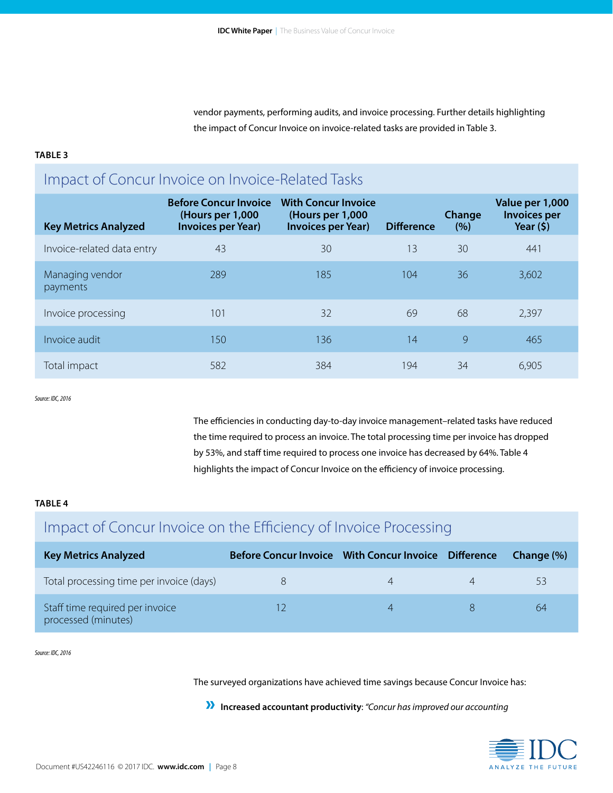vendor payments, performing audits, and invoice processing. Further details highlighting the impact of Concur Invoice on invoice-related tasks are provided in Table 3.

#### **TABLE 3**

# Impact of Concur Invoice on Invoice-Related Tasks

| <b>Key Metrics Analyzed</b> | <b>Before Concur Invoice</b><br>(Hours per 1,000)<br><b>Invoices per Year)</b> | <b>With Concur Invoice</b><br>(Hours per 1,000<br><b>Invoices per Year)</b> | <b>Difference</b> | Change<br>(% ) | Value per 1,000<br><b>Invoices per</b><br>Year $(5)$ |
|-----------------------------|--------------------------------------------------------------------------------|-----------------------------------------------------------------------------|-------------------|----------------|------------------------------------------------------|
| Invoice-related data entry  | 43                                                                             | 30                                                                          | 13                | 30             | 441                                                  |
| Managing vendor<br>payments | 289                                                                            | 185                                                                         | 104               | 36             | 3,602                                                |
| Invoice processing          | 101                                                                            | 32                                                                          | 69                | 68             | 2,397                                                |
| Invoice audit               | 150                                                                            | 136                                                                         | 14                | 9              | 465                                                  |
| Total impact                | 582                                                                            | 384                                                                         | 194               | 34             | 6,905                                                |

*Source: IDC, 2016*

The efficiencies in conducting day-to-day invoice management–related tasks have reduced the time required to process an invoice. The total processing time per invoice has dropped by 53%, and staff time required to process one invoice has decreased by 64%. Table 4 highlights the impact of Concur Invoice on the efficiency of invoice processing.

#### **TABLE 4**

# Impact of Concur Invoice on the Efficiency of Invoice Processing

| <b>Key Metrics Analyzed</b>                            |  | Change (%) |
|--------------------------------------------------------|--|------------|
| Total processing time per invoice (days)               |  | 53         |
| Staff time required per invoice<br>processed (minutes) |  | 64         |

*Source: IDC, 2016*

The surveyed organizations have achieved time savings because Concur Invoice has:

» **Increased accountant productivity**: *"Concur has improved our accounting* 

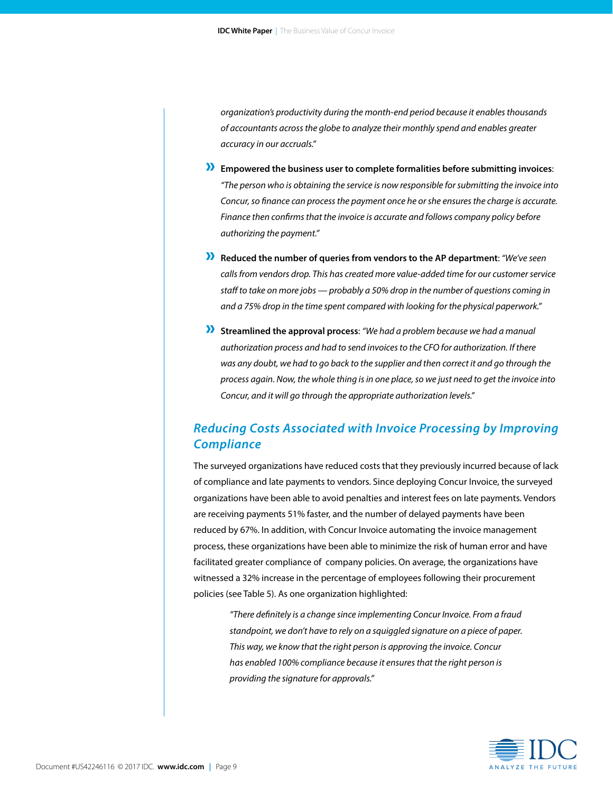*organization's productivity during the month-end period because it enables thousands of accountants across the globe to analyze their monthly spend and enables greater accuracy in our accruals."* 

- » **Empowered the business user to complete formalities before submitting invoices**: *"The person who is obtaining the service is now responsible for submitting the invoice into Concur, so finance can process the payment once he or she ensures the charge is accurate. Finance then confirms that the invoice is accurate and follows company policy before authorizing the payment."*
- » **Reduced the number of queries from vendors to the AP department**: *"We've seen calls from vendors drop. This has created more value-added time for our customer service staff to take on more jobs — probably a 50% drop in the number of questions coming in and a 75% drop in the time spent compared with looking for the physical paperwork."*
- » **Streamlined the approval process**: *"We had a problem because we had a manual authorization process and had to send invoices to the CFO for authorization. If there was any doubt, we had to go back to the supplier and then correct it and go through the process again. Now, the whole thing is in one place, so we just need to get the invoice into Concur, and it will go through the appropriate authorization levels."*

### *Reducing Costs Associated with Invoice Processing by Improving Compliance*

The surveyed organizations have reduced costs that they previously incurred because of lack of compliance and late payments to vendors. Since deploying Concur Invoice, the surveyed organizations have been able to avoid penalties and interest fees on late payments. Vendors are receiving payments 51% faster, and the number of delayed payments have been reduced by 67%. In addition, with Concur Invoice automating the invoice management process, these organizations have been able to minimize the risk of human error and have facilitated greater compliance of company policies. On average, the organizations have witnessed a 32% increase in the percentage of employees following their procurement policies (see Table 5). As one organization highlighted:

*"There definitely is a change since implementing Concur Invoice. From a fraud standpoint, we don't have to rely on a squiggled signature on a piece of paper. This way, we know that the right person is approving the invoice. Concur has enabled 100% compliance because it ensures that the right person is providing the signature for approvals."* 

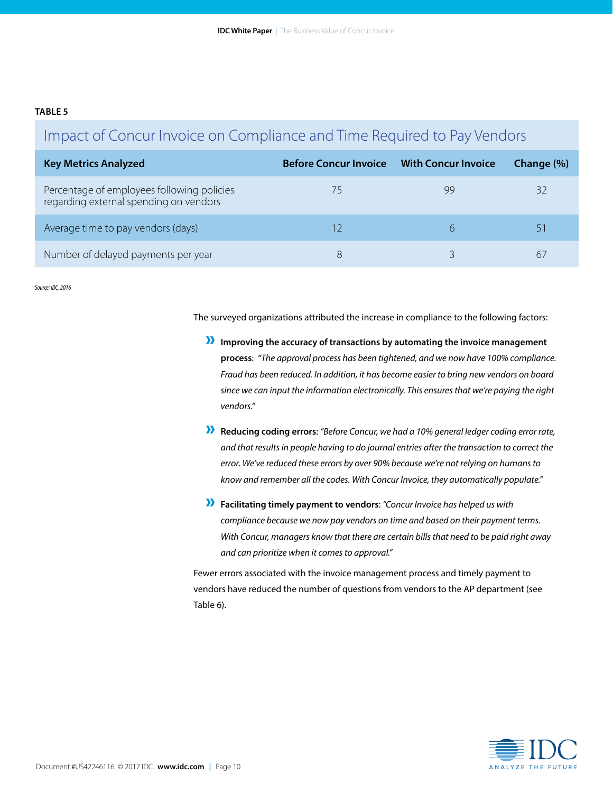#### **TABLE 5**

# Impact of Concur Invoice on Compliance and Time Required to Pay Vendors

| <b>Key Metrics Analyzed</b>                                                          | <b>Before Concur Invoice</b> | <b>With Concur Invoice</b> | Change (%) |
|--------------------------------------------------------------------------------------|------------------------------|----------------------------|------------|
| Percentage of employees following policies<br>regarding external spending on vendors |                              | gg                         |            |
| Average time to pay vendors (days)                                                   |                              |                            |            |
| Number of delayed payments per year                                                  | 8                            |                            | 6.         |

*Source: IDC, 2016*

The surveyed organizations attributed the increase in compliance to the following factors:

- » **Improving the accuracy of transactions by automating the invoice management process**: *"The approval process has been tightened, and we now have 100% compliance. Fraud has been reduced. In addition, it has become easier to bring new vendors on board since we can input the information electronically. This ensures that we're paying the right vendors."*
- » **Reducing coding errors**: *"Before Concur, we had a 10% general ledger coding error rate, and that results in people having to do journal entries after the transaction to correct the error. We've reduced these errors by over 90% because we're not relying on humans to know and remember all the codes. With Concur Invoice, they automatically populate."*
- » **Facilitating timely payment to vendors**: *"Concur Invoice has helped us with compliance because we now pay vendors on time and based on their payment terms. With Concur, managers know that there are certain bills that need to be paid right away and can prioritize when it comes to approval."*

Fewer errors associated with the invoice management process and timely payment to vendors have reduced the number of questions from vendors to the AP department (see Table 6).

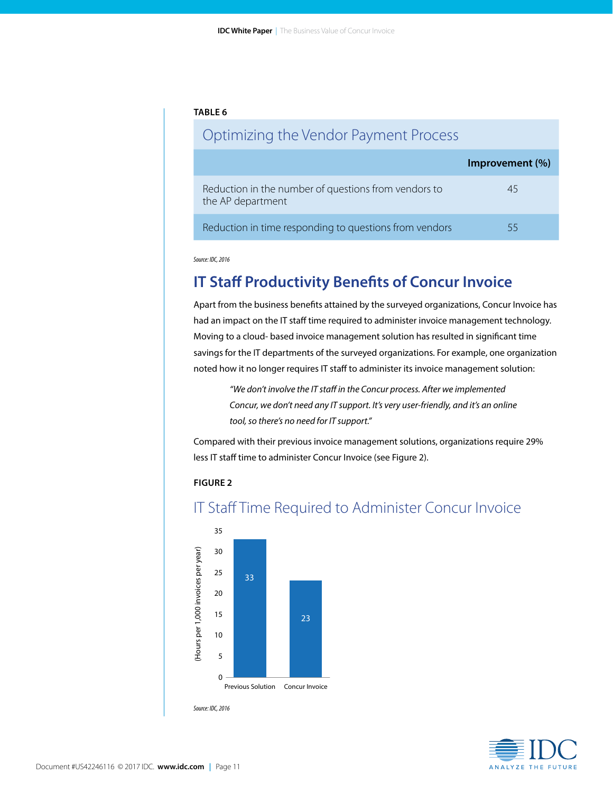#### **TABLE 6**

### Optimizing the Vendor Payment Process

|                                                                           | Improvement (%) |
|---------------------------------------------------------------------------|-----------------|
| Reduction in the number of questions from vendors to<br>the AP department | 45              |
| Reduction in time responding to questions from vendors                    | 55              |

*Source: IDC, 2016* 

# **IT Staff Productivity Benefits of Concur Invoice**

Apart from the business benefits attained by the surveyed organizations, Concur Invoice has had an impact on the IT staff time required to administer invoice management technology. Moving to a cloud- based invoice management solution has resulted in significant time savings for the IT departments of the surveyed organizations. For example, one organization noted how it no longer requires IT staff to administer its invoice management solution:

*"We don't involve the IT staff in the Concur process. After we implemented Concur, we don't need any IT support. It's very user-friendly, and it's an online tool, so there's no need for IT support."* 

Compared with their previous invoice management solutions, organizations require 29% less IT staff time to administer Concur Invoice (see Figure 2).

#### **FIGURE 2**



### IT Staff Time Required to Administer Concur Invoice

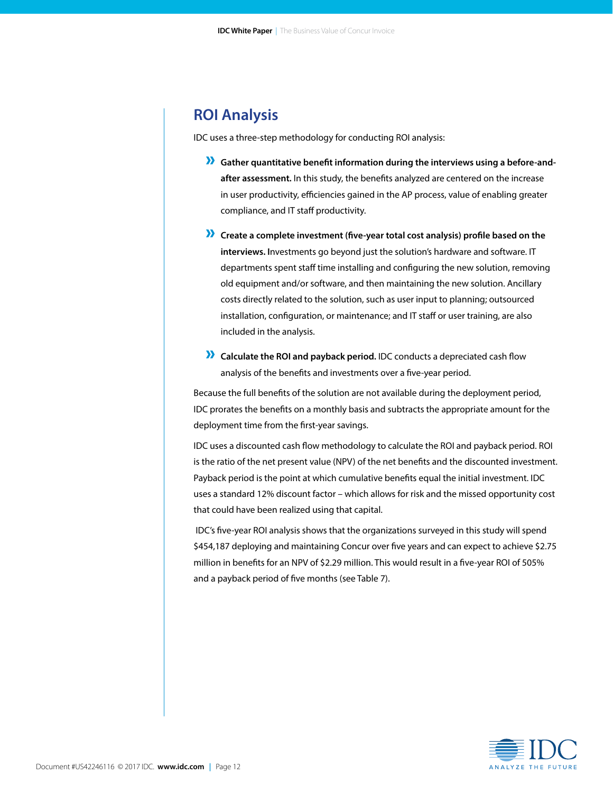### **ROI Analysis**

IDC uses a three-step methodology for conducting ROI analysis:

- **X** Gather quantitative benefit information during the interviews using a before-and**after assessment.** In this study, the benefits analyzed are centered on the increase in user productivity, efficiencies gained in the AP process, value of enabling greater compliance, and IT staff productivity.
- » **Create a complete investment (five-year total cost analysis) profile based on the interviews. I**nvestments go beyond just the solution's hardware and software. IT departments spent staff time installing and configuring the new solution, removing old equipment and/or software, and then maintaining the new solution. Ancillary costs directly related to the solution, such as user input to planning; outsourced installation, configuration, or maintenance; and IT staff or user training, are also included in the analysis.
- » **Calculate the ROI and payback period.** IDC conducts a depreciated cash flow analysis of the benefits and investments over a five-year period.

Because the full benefits of the solution are not available during the deployment period, IDC prorates the benefits on a monthly basis and subtracts the appropriate amount for the deployment time from the first-year savings.

IDC uses a discounted cash flow methodology to calculate the ROI and payback period. ROI is the ratio of the net present value (NPV) of the net benefits and the discounted investment. Payback period is the point at which cumulative benefits equal the initial investment. IDC uses a standard 12% discount factor – which allows for risk and the missed opportunity cost that could have been realized using that capital.

 IDC's five-year ROI analysis shows that the organizations surveyed in this study will spend \$454,187 deploying and maintaining Concur over five years and can expect to achieve \$2.75 million in benefits for an NPV of \$2.29 million. This would result in a five-year ROI of 505% and a payback period of five months (see Table 7).

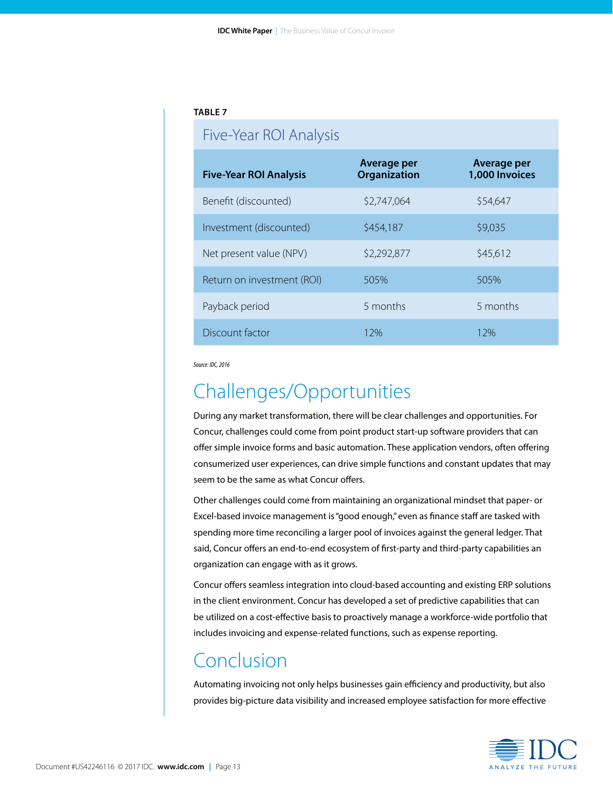#### **TABLE 7**

### Five-Year ROI Analysis

| <b>Five-Year ROI Analysis</b> | Average per<br>Organization | Average per<br>1,000 Invoices |
|-------------------------------|-----------------------------|-------------------------------|
| Benefit (discounted)          | \$2,747,064                 | \$54,647                      |
| Investment (discounted)       | \$454,187                   | \$9,035                       |
| Net present value (NPV)       | \$2,292,877                 | \$45,612                      |
| Return on investment (ROI)    | 505%                        | 505%                          |
| Payback period                | 5 months                    | 5 months                      |
| Discount factor               | 1 2%                        | 12%                           |

*Source: IDC, 2016* 

# Challenges/Opportunities

During any market transformation, there will be clear challenges and opportunities. For Concur, challenges could come from point product start-up software providers that can offer simple invoice forms and basic automation. These application vendors, often offering consumerized user experiences, can drive simple functions and constant updates that may seem to be the same as what Concur offers.

Other challenges could come from maintaining an organizational mindset that paper- or Excel-based invoice management is "good enough," even as finance staff are tasked with spending more time reconciling a larger pool of invoices against the general ledger. That said, Concur offers an end-to-end ecosystem of first-party and third-party capabilities an organization can engage with as it grows.

Concur offers seamless integration into cloud-based accounting and existing ERP solutions in the client environment. Concur has developed a set of predictive capabilities that can be utilized on a cost-effective basis to proactively manage a workforce-wide portfolio that includes invoicing and expense-related functions, such as expense reporting.

# Conclusion

Automating invoicing not only helps businesses gain efficiency and productivity, but also provides big-picture data visibility and increased employee satisfaction for more effective